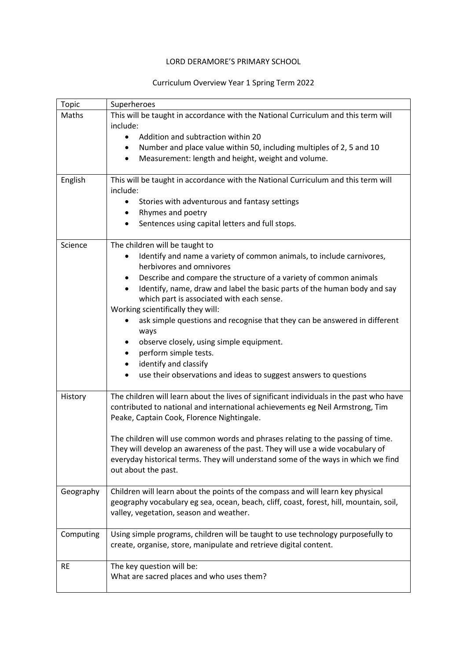## LORD DERAMORE'S PRIMARY SCHOOL

## Curriculum Overview Year 1 Spring Term 2022

| <b>Topic</b> | Superheroes                                                                             |
|--------------|-----------------------------------------------------------------------------------------|
| Maths        | This will be taught in accordance with the National Curriculum and this term will       |
|              | include:                                                                                |
|              | Addition and subtraction within 20                                                      |
|              | Number and place value within 50, including multiples of 2, 5 and 10<br>$\bullet$       |
|              | Measurement: length and height, weight and volume.<br>٠                                 |
| English      | This will be taught in accordance with the National Curriculum and this term will       |
|              | include:                                                                                |
|              | Stories with adventurous and fantasy settings                                           |
|              | Rhymes and poetry                                                                       |
|              | Sentences using capital letters and full stops.<br>٠                                    |
| Science      | The children will be taught to                                                          |
|              | Identify and name a variety of common animals, to include carnivores,                   |
|              | herbivores and omnivores                                                                |
|              | Describe and compare the structure of a variety of common animals                       |
|              | Identify, name, draw and label the basic parts of the human body and say<br>$\bullet$   |
|              | which part is associated with each sense.                                               |
|              | Working scientifically they will:                                                       |
|              | ask simple questions and recognise that they can be answered in different               |
|              | ways                                                                                    |
|              | observe closely, using simple equipment.                                                |
|              | perform simple tests.<br>identify and classify                                          |
|              | ٠<br>use their observations and ideas to suggest answers to questions                   |
|              |                                                                                         |
| History      | The children will learn about the lives of significant individuals in the past who have |
|              | contributed to national and international achievements eg Neil Armstrong, Tim           |
|              | Peake, Captain Cook, Florence Nightingale.                                              |
|              | The children will use common words and phrases relating to the passing of time.         |
|              | They will develop an awareness of the past. They will use a wide vocabulary of          |
|              | everyday historical terms. They will understand some of the ways in which we find       |
|              | out about the past.                                                                     |
|              |                                                                                         |
| Geography    | Children will learn about the points of the compass and will learn key physical         |
|              | geography vocabulary eg sea, ocean, beach, cliff, coast, forest, hill, mountain, soil,  |
|              | valley, vegetation, season and weather.                                                 |
| Computing    | Using simple programs, children will be taught to use technology purposefully to        |
|              | create, organise, store, manipulate and retrieve digital content.                       |
|              |                                                                                         |
| <b>RE</b>    | The key question will be:<br>What are sacred places and who uses them?                  |
|              |                                                                                         |
|              |                                                                                         |